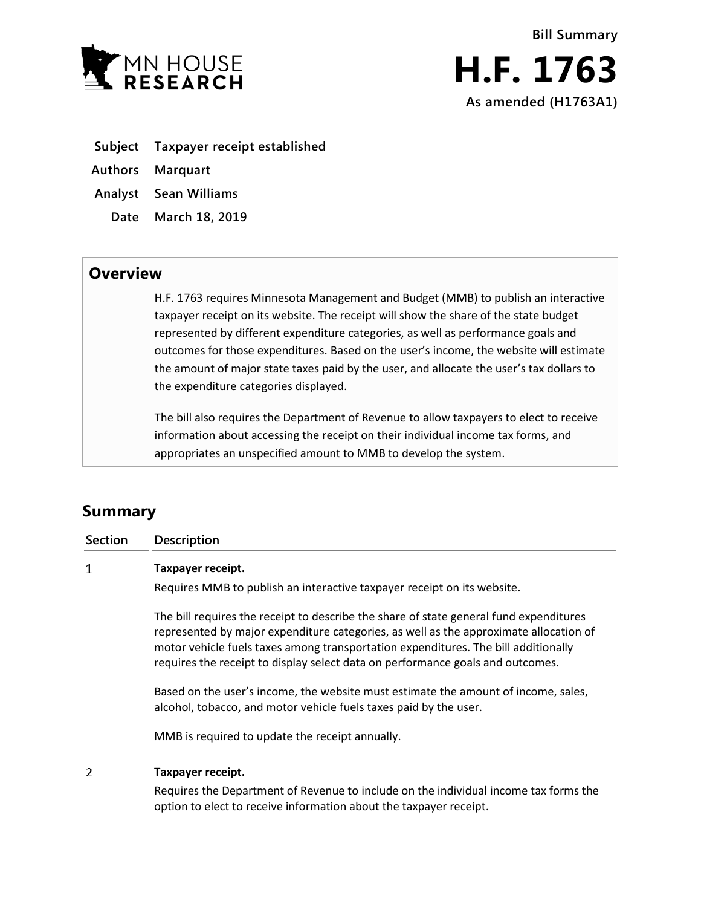

- **Subject Taxpayer receipt established**
- **Authors Marquart**
- **Analyst Sean Williams**
	- **Date March 18, 2019**

## **Overview**

H.F. 1763 requires Minnesota Management and Budget (MMB) to publish an interactive taxpayer receipt on its website. The receipt will show the share of the state budget represented by different expenditure categories, as well as performance goals and outcomes for those expenditures. Based on the user's income, the website will estimate the amount of major state taxes paid by the user, and allocate the user's tax dollars to the expenditure categories displayed.

The bill also requires the Department of Revenue to allow taxpayers to elect to receive information about accessing the receipt on their individual income tax forms, and appropriates an unspecified amount to MMB to develop the system.

## **Summary**

| <b>Section</b> | Description                                                                                                                                                                                                                                                                                                                                             |
|----------------|---------------------------------------------------------------------------------------------------------------------------------------------------------------------------------------------------------------------------------------------------------------------------------------------------------------------------------------------------------|
| 1              | Taxpayer receipt.                                                                                                                                                                                                                                                                                                                                       |
|                | Requires MMB to publish an interactive taxpayer receipt on its website.                                                                                                                                                                                                                                                                                 |
|                | The bill requires the receipt to describe the share of state general fund expenditures<br>represented by major expenditure categories, as well as the approximate allocation of<br>motor vehicle fuels taxes among transportation expenditures. The bill additionally<br>requires the receipt to display select data on performance goals and outcomes. |
|                | Based on the user's income, the website must estimate the amount of income, sales,<br>alcohol, tobacco, and motor vehicle fuels taxes paid by the user.                                                                                                                                                                                                 |
|                | MMB is required to update the receipt annually.                                                                                                                                                                                                                                                                                                         |
|                | Taxpayer receipt.                                                                                                                                                                                                                                                                                                                                       |

Requires the Department of Revenue to include on the individual income tax forms the option to elect to receive information about the taxpayer receipt.